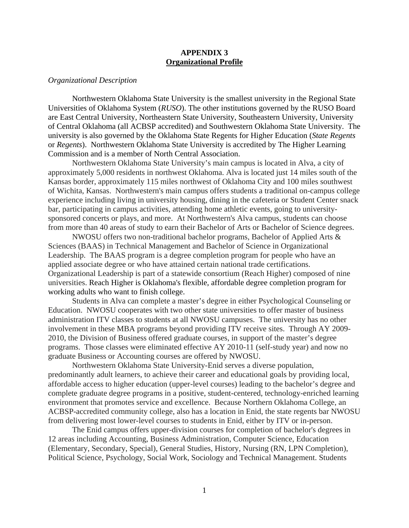## **APPENDIX 3 Organizational Profile**

## *Organizational Description*

Northwestern Oklahoma State University is the smallest university in the Regional State Universities of Oklahoma System (*RUSO*). The other institutions governed by the RUSO Board are East Central University, Northeastern State University, Southeastern University, University of Central Oklahoma (all ACBSP accredited) and Southwestern Oklahoma State University. The university is also governed by the Oklahoma State Regents for Higher Education (*State Regents* or *Regents*). Northwestern Oklahoma State University is accredited by The Higher Learning Commission and is a member of North Central Association.

Northwestern Oklahoma State University's main campus is located in Alva, a city of approximately 5,000 residents in northwest Oklahoma. Alva is located just 14 miles south of the Kansas border, approximately 115 miles northwest of Oklahoma City and 100 miles southwest of Wichita, Kansas. Northwestern's main campus offers students a traditional on-campus college experience including living in university housing, dining in the cafeteria or Student Center snack bar, participating in campus activities, attending home athletic events, going to universitysponsored concerts or plays, and more. At Northwestern's Alva campus, students can choose from more than 40 areas of study to earn their Bachelor of Arts or Bachelor of Science degrees.

NWOSU offers two non-traditional bachelor programs, Bachelor of Applied Arts & Sciences (BAAS) in Technical Management and Bachelor of Science in Organizational Leadership. The BAAS program is a degree completion program for people who have an applied associate degree or who have attained certain national trade certifications. Organizational Leadership is part of a statewide consortium (Reach Higher) composed of nine universities. Reach Higher is Oklahoma's flexible, affordable degree completion program for working adults who want to finish college.

Students in Alva can complete a master's degree in either Psychological Counseling or Education. NWOSU cooperates with two other state universities to offer master of business administration ITV classes to students at all NWOSU campuses. The university has no other involvement in these MBA programs beyond providing ITV receive sites. Through AY 2009- 2010, the Division of Business offered graduate courses, in support of the master's degree programs. Those classes were eliminated effective AY 2010-11 (self-study year) and now no graduate Business or Accounting courses are offered by NWOSU.

Northwestern Oklahoma State University-Enid serves a diverse population, predominantly adult learners, to achieve their career and educational goals by providing local, affordable access to higher education (upper-level courses) leading to the bachelor's degree and complete graduate degree programs in a positive, student-centered, technology-enriched learning environment that promotes service and excellence. Because Northern Oklahoma College, an ACBSP-accredited community college, also has a location in Enid, the state regents bar NWOSU from delivering most lower-level courses to students in Enid, either by ITV or in-person.

The Enid campus offers upper-division courses for completion of bachelor's degrees in 12 areas including Accounting, Business Administration, Computer Science, Education (Elementary, Secondary, Special), General Studies, History, Nursing (RN, LPN Completion), Political Science, Psychology, Social Work, Sociology and Technical Management. Students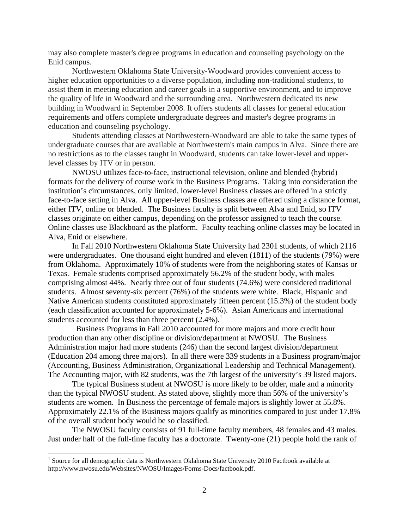may also complete master's degree programs in education and counseling psychology on the Enid campus.

Northwestern Oklahoma State University-Woodward provides convenient access to higher education opportunities to a diverse population, including non-traditional students, to assist them in meeting education and career goals in a supportive environment, and to improve the quality of life in Woodward and the surrounding area. Northwestern dedicated its new building in Woodward in September 2008. It offers students all classes for general education requirements and offers complete undergraduate degrees and master's degree programs in education and counseling psychology.

Students attending classes at Northwestern-Woodward are able to take the same types of undergraduate courses that are available at Northwestern's main campus in Alva. Since there are no restrictions as to the classes taught in Woodward, students can take lower-level and upperlevel classes by ITV or in person.

NWOSU utilizes face-to-face, instructional television, online and blended (hybrid) formats for the delivery of course work in the Business Programs. Taking into consideration the institution's circumstances, only limited, lower-level Business classes are offered in a strictly face-to-face setting in Alva. All upper-level Business classes are offered using a distance format, either ITV, online or blended. The Business faculty is split between Alva and Enid, so ITV classes originate on either campus, depending on the professor assigned to teach the course. Online classes use Blackboard as the platform. Faculty teaching online classes may be located in Alva, Enid or elsewhere.

In Fall 2010 Northwestern Oklahoma State University had 2301 students, of which 2116 were undergraduates. One thousand eight hundred and eleven (1811) of the students (79%) were from Oklahoma. Approximately 10% of students were from the neighboring states of Kansas or Texas. Female students comprised approximately 56.2% of the student body, with males comprising almost 44%. Nearly three out of four students (74.6%) were considered traditional students. Almost seventy-six percent (76%) of the students were white. Black, Hispanic and Native American students constituted approximately fifteen percent (15.3%) of the student body (each classification accounted for approximately 5-6%). Asian Americans and international students accounted for less than three percent  $(2.4\%)$ .<sup>1</sup>

 Business Programs in Fall 2010 accounted for more majors and more credit hour production than any other discipline or division/department at NWOSU. The Business Administration major had more students (246) than the second largest division/department (Education 204 among three majors). In all there were 339 students in a Business program/major (Accounting, Business Administration, Organizational Leadership and Technical Management). The Accounting major, with 82 students, was the 7th largest of the university's 39 listed majors.

The typical Business student at NWOSU is more likely to be older, male and a minority than the typical NWOSU student. As stated above, slightly more than 56% of the university's students are women. In Business the percentage of female majors is slightly lower at 55.8%. Approximately 22.1% of the Business majors qualify as minorities compared to just under 17.8% of the overall student body would be so classified.

The NWOSU faculty consists of 91 full-time faculty members, 48 females and 43 males. Just under half of the full-time faculty has a doctorate. Twenty-one (21) people hold the rank of

 $\overline{a}$ 

<sup>&</sup>lt;sup>1</sup> Source for all demographic data is Northwestern Oklahoma State University 2010 Factbook available at http://www.nwosu.edu/Websites/NWOSU/Images/Forms-Docs/factbook.pdf.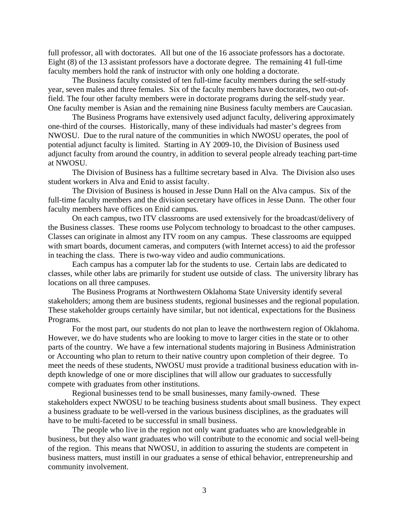full professor, all with doctorates. All but one of the 16 associate professors has a doctorate. Eight (8) of the 13 assistant professors have a doctorate degree. The remaining 41 full-time faculty members hold the rank of instructor with only one holding a doctorate.

The Business faculty consisted of ten full-time faculty members during the self-study year, seven males and three females. Six of the faculty members have doctorates, two out-offield. The four other faculty members were in doctorate programs during the self-study year. One faculty member is Asian and the remaining nine Business faculty members are Caucasian.

The Business Programs have extensively used adjunct faculty, delivering approximately one-third of the courses. Historically, many of these individuals had master's degrees from NWOSU. Due to the rural nature of the communities in which NWOSU operates, the pool of potential adjunct faculty is limited. Starting in AY 2009-10, the Division of Business used adjunct faculty from around the country, in addition to several people already teaching part-time at NWOSU.

The Division of Business has a fulltime secretary based in Alva. The Division also uses student workers in Alva and Enid to assist faculty.

The Division of Business is housed in Jesse Dunn Hall on the Alva campus. Six of the full-time faculty members and the division secretary have offices in Jesse Dunn. The other four faculty members have offices on Enid campus.

On each campus, two ITV classrooms are used extensively for the broadcast/delivery of the Business classes. These rooms use Polycom technology to broadcast to the other campuses. Classes can originate in almost any ITV room on any campus. These classrooms are equipped with smart boards, document cameras, and computers (with Internet access) to aid the professor in teaching the class. There is two-way video and audio communications.

Each campus has a computer lab for the students to use. Certain labs are dedicated to classes, while other labs are primarily for student use outside of class. The university library has locations on all three campuses.

The Business Programs at Northwestern Oklahoma State University identify several stakeholders; among them are business students, regional businesses and the regional population. These stakeholder groups certainly have similar, but not identical, expectations for the Business Programs.

For the most part, our students do not plan to leave the northwestern region of Oklahoma. However, we do have students who are looking to move to larger cities in the state or to other parts of the country. We have a few international students majoring in Business Administration or Accounting who plan to return to their native country upon completion of their degree. To meet the needs of these students, NWOSU must provide a traditional business education with indepth knowledge of one or more disciplines that will allow our graduates to successfully compete with graduates from other institutions.

Regional businesses tend to be small businesses, many family-owned. These stakeholders expect NWOSU to be teaching business students about small business. They expect a business graduate to be well-versed in the various business disciplines, as the graduates will have to be multi-faceted to be successful in small business.

The people who live in the region not only want graduates who are knowledgeable in business, but they also want graduates who will contribute to the economic and social well-being of the region. This means that NWOSU, in addition to assuring the students are competent in business matters, must instill in our graduates a sense of ethical behavior, entrepreneurship and community involvement.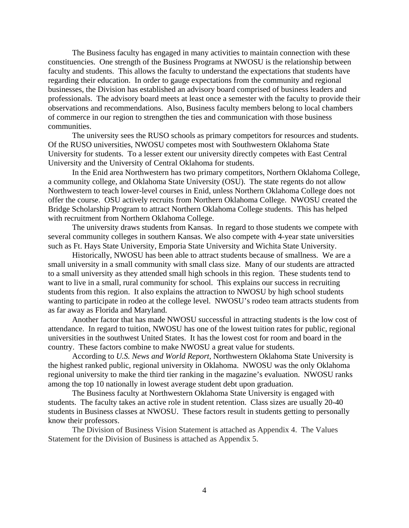The Business faculty has engaged in many activities to maintain connection with these constituencies. One strength of the Business Programs at NWOSU is the relationship between faculty and students. This allows the faculty to understand the expectations that students have regarding their education. In order to gauge expectations from the community and regional businesses, the Division has established an advisory board comprised of business leaders and professionals. The advisory board meets at least once a semester with the faculty to provide their observations and recommendations. Also, Business faculty members belong to local chambers of commerce in our region to strengthen the ties and communication with those business communities.

The university sees the RUSO schools as primary competitors for resources and students. Of the RUSO universities, NWOSU competes most with Southwestern Oklahoma State University for students. To a lesser extent our university directly competes with East Central University and the University of Central Oklahoma for students.

In the Enid area Northwestern has two primary competitors, Northern Oklahoma College, a community college, and Oklahoma State University (OSU). The state regents do not allow Northwestern to teach lower-level courses in Enid, unless Northern Oklahoma College does not offer the course. OSU actively recruits from Northern Oklahoma College. NWOSU created the Bridge Scholarship Program to attract Northern Oklahoma College students. This has helped with recruitment from Northern Oklahoma College.

The university draws students from Kansas. In regard to those students we compete with several community colleges in southern Kansas. We also compete with 4-year state universities such as Ft. Hays State University, Emporia State University and Wichita State University.

Historically, NWOSU has been able to attract students because of smallness. We are a small university in a small community with small class size. Many of our students are attracted to a small university as they attended small high schools in this region. These students tend to want to live in a small, rural community for school. This explains our success in recruiting students from this region. It also explains the attraction to NWOSU by high school students wanting to participate in rodeo at the college level. NWOSU's rodeo team attracts students from as far away as Florida and Maryland.

Another factor that has made NWOSU successful in attracting students is the low cost of attendance. In regard to tuition, NWOSU has one of the lowest tuition rates for public, regional universities in the southwest United States. It has the lowest cost for room and board in the country. These factors combine to make NWOSU a great value for students.

According to *U.S. News and World Report*, Northwestern Oklahoma State University is the highest ranked public, regional university in Oklahoma. NWOSU was the only Oklahoma regional university to make the third tier ranking in the magazine's evaluation. NWOSU ranks among the top 10 nationally in lowest average student debt upon graduation.

The Business faculty at Northwestern Oklahoma State University is engaged with students. The faculty takes an active role in student retention. Class sizes are usually 20-40 students in Business classes at NWOSU. These factors result in students getting to personally know their professors.

The Division of Business Vision Statement is attached as Appendix 4. The Values Statement for the Division of Business is attached as Appendix 5.